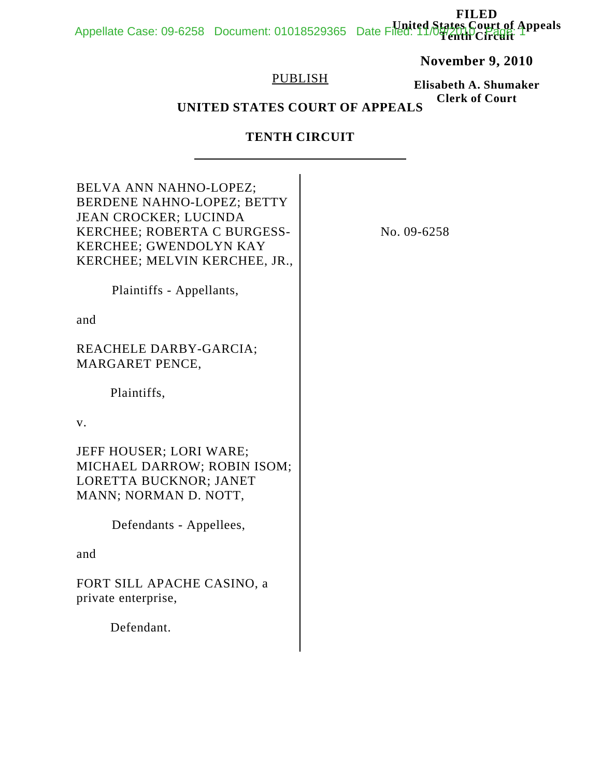#### **FILED United States Court of Appeals** Appellate Case: 09-6258 Document: 01018529365 Date Filed: 11/09/2010 Page: 1

## **November 9, 2010**

## PUBLISH

**Elisabeth A. Shumaker Clerk of Court**

# **UNITED STATES COURT OF APPEALS**

## **TENTH CIRCUIT**

| No. 09-6258 |
|-------------|
|             |
|             |
|             |
|             |
|             |
|             |
|             |
|             |
|             |
|             |
|             |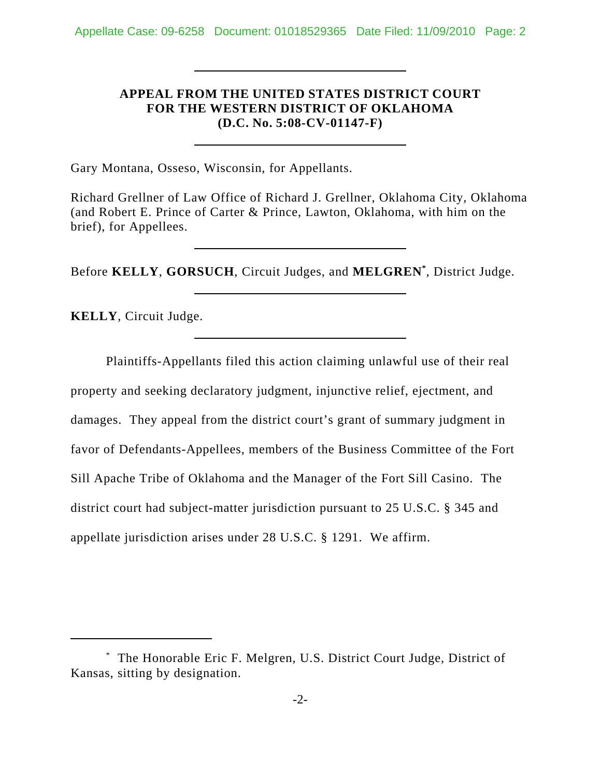## **APPEAL FROM THE UNITED STATES DISTRICT COURT FOR THE WESTERN DISTRICT OF OKLAHOMA (D.C. No. 5:08-CV-01147-F)**

Gary Montana, Osseso, Wisconsin, for Appellants.

Richard Grellner of Law Office of Richard J. Grellner, Oklahoma City, Oklahoma (and Robert E. Prince of Carter & Prince, Lawton, Oklahoma, with him on the brief), for Appellees.

Before **KELLY**, **GORSUCH**, Circuit Judges, and **MELGREN\*** , District Judge.

**KELLY**, Circuit Judge.

Plaintiffs-Appellants filed this action claiming unlawful use of their real property and seeking declaratory judgment, injunctive relief, ejectment, and damages. They appeal from the district court's grant of summary judgment in favor of Defendants-Appellees, members of the Business Committee of the Fort Sill Apache Tribe of Oklahoma and the Manager of the Fort Sill Casino. The district court had subject-matter jurisdiction pursuant to 25 U.S.C. § 345 and appellate jurisdiction arises under 28 U.S.C. § 1291. We affirm.

<sup>\*</sup> The Honorable Eric F. Melgren, U.S. District Court Judge, District of Kansas, sitting by designation.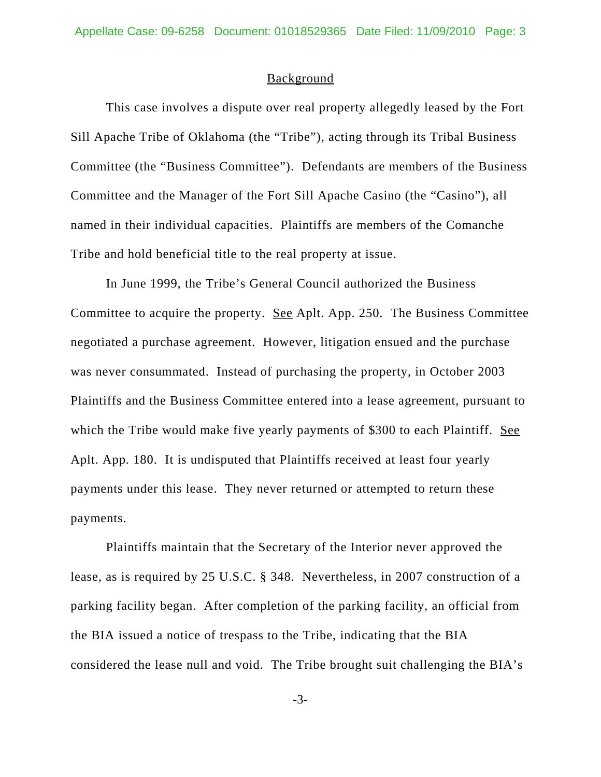#### **Background**

This case involves a dispute over real property allegedly leased by the Fort Sill Apache Tribe of Oklahoma (the "Tribe"), acting through its Tribal Business Committee (the "Business Committee"). Defendants are members of the Business Committee and the Manager of the Fort Sill Apache Casino (the "Casino"), all named in their individual capacities. Plaintiffs are members of the Comanche Tribe and hold beneficial title to the real property at issue.

In June 1999, the Tribe's General Council authorized the Business Committee to acquire the property. See Aplt. App. 250. The Business Committee negotiated a purchase agreement. However, litigation ensued and the purchase was never consummated. Instead of purchasing the property, in October 2003 Plaintiffs and the Business Committee entered into a lease agreement, pursuant to which the Tribe would make five yearly payments of \$300 to each Plaintiff. See Aplt. App. 180. It is undisputed that Plaintiffs received at least four yearly payments under this lease. They never returned or attempted to return these payments.

Plaintiffs maintain that the Secretary of the Interior never approved the lease, as is required by 25 U.S.C. § 348. Nevertheless, in 2007 construction of a parking facility began. After completion of the parking facility, an official from the BIA issued a notice of trespass to the Tribe, indicating that the BIA considered the lease null and void. The Tribe brought suit challenging the BIA's

-3-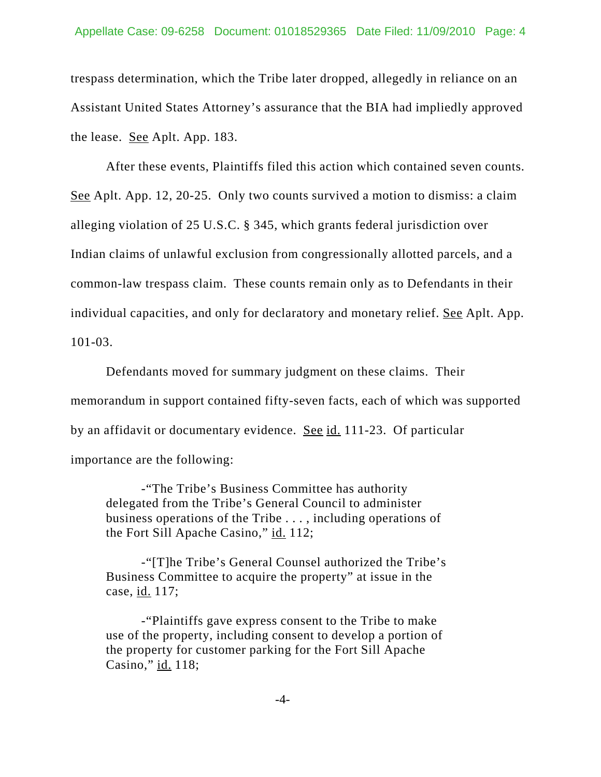trespass determination, which the Tribe later dropped, allegedly in reliance on an Assistant United States Attorney's assurance that the BIA had impliedly approved the lease. See Aplt. App. 183.

After these events, Plaintiffs filed this action which contained seven counts. See Aplt. App. 12, 20-25. Only two counts survived a motion to dismiss: a claim alleging violation of 25 U.S.C. § 345, which grants federal jurisdiction over Indian claims of unlawful exclusion from congressionally allotted parcels, and a common-law trespass claim. These counts remain only as to Defendants in their individual capacities, and only for declaratory and monetary relief. See Aplt. App. 101-03.

Defendants moved for summary judgment on these claims. Their memorandum in support contained fifty-seven facts, each of which was supported by an affidavit or documentary evidence. See id. 111-23. Of particular importance are the following:

-"The Tribe's Business Committee has authority delegated from the Tribe's General Council to administer business operations of the Tribe . . . , including operations of the Fort Sill Apache Casino," id. 112;

-"[T]he Tribe's General Counsel authorized the Tribe's Business Committee to acquire the property" at issue in the case, id. 117;

-"Plaintiffs gave express consent to the Tribe to make use of the property, including consent to develop a portion of the property for customer parking for the Fort Sill Apache Casino," id. 118;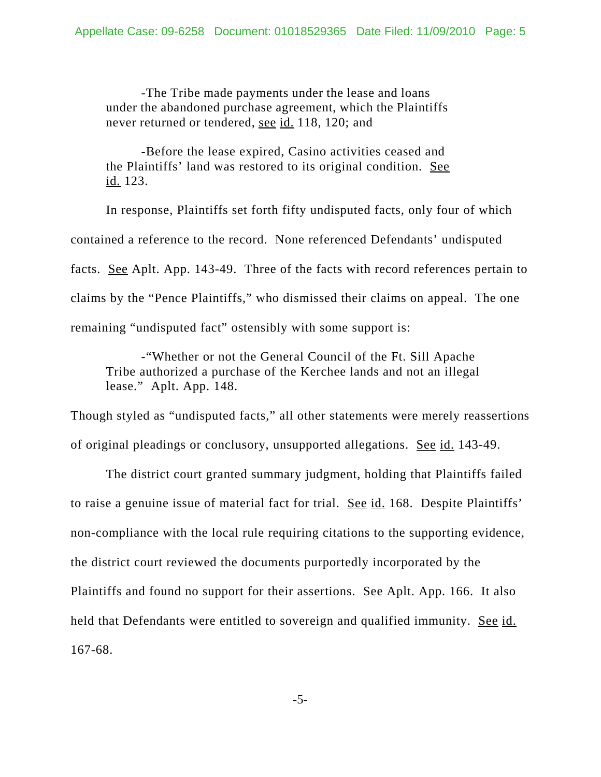-The Tribe made payments under the lease and loans under the abandoned purchase agreement, which the Plaintiffs never returned or tendered, see id. 118, 120; and

-Before the lease expired, Casino activities ceased and the Plaintiffs' land was restored to its original condition. See id. 123.

In response, Plaintiffs set forth fifty undisputed facts, only four of which contained a reference to the record. None referenced Defendants' undisputed facts. See Aplt. App. 143-49. Three of the facts with record references pertain to claims by the "Pence Plaintiffs," who dismissed their claims on appeal. The one remaining "undisputed fact" ostensibly with some support is:

-"Whether or not the General Council of the Ft. Sill Apache Tribe authorized a purchase of the Kerchee lands and not an illegal lease." Aplt. App. 148.

Though styled as "undisputed facts," all other statements were merely reassertions of original pleadings or conclusory, unsupported allegations. See id. 143-49.

The district court granted summary judgment, holding that Plaintiffs failed to raise a genuine issue of material fact for trial. See id. 168. Despite Plaintiffs' non-compliance with the local rule requiring citations to the supporting evidence, the district court reviewed the documents purportedly incorporated by the Plaintiffs and found no support for their assertions. See Aplt. App. 166. It also held that Defendants were entitled to sovereign and qualified immunity. See id. 167-68.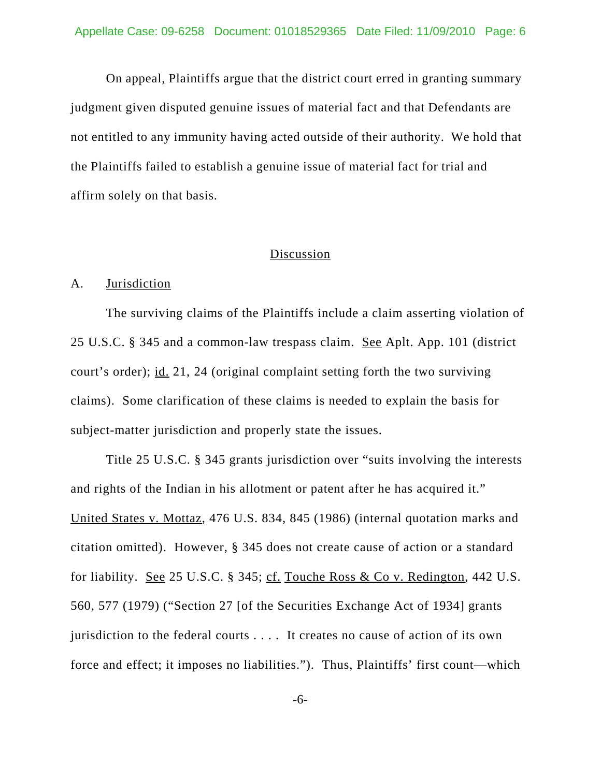On appeal, Plaintiffs argue that the district court erred in granting summary judgment given disputed genuine issues of material fact and that Defendants are not entitled to any immunity having acted outside of their authority. We hold that the Plaintiffs failed to establish a genuine issue of material fact for trial and affirm solely on that basis.

### Discussion

#### A. Jurisdiction

The surviving claims of the Plaintiffs include a claim asserting violation of 25 U.S.C. § 345 and a common-law trespass claim. See Aplt. App. 101 (district court's order); id. 21, 24 (original complaint setting forth the two surviving claims). Some clarification of these claims is needed to explain the basis for subject-matter jurisdiction and properly state the issues.

Title 25 U.S.C. § 345 grants jurisdiction over "suits involving the interests and rights of the Indian in his allotment or patent after he has acquired it." United States v. Mottaz, 476 U.S. 834, 845 (1986) (internal quotation marks and citation omitted). However, § 345 does not create cause of action or a standard for liability. See 25 U.S.C. § 345; cf. Touche Ross & Co v. Redington, 442 U.S. 560, 577 (1979) ("Section 27 [of the Securities Exchange Act of 1934] grants jurisdiction to the federal courts . . . . It creates no cause of action of its own force and effect; it imposes no liabilities."). Thus, Plaintiffs' first count—which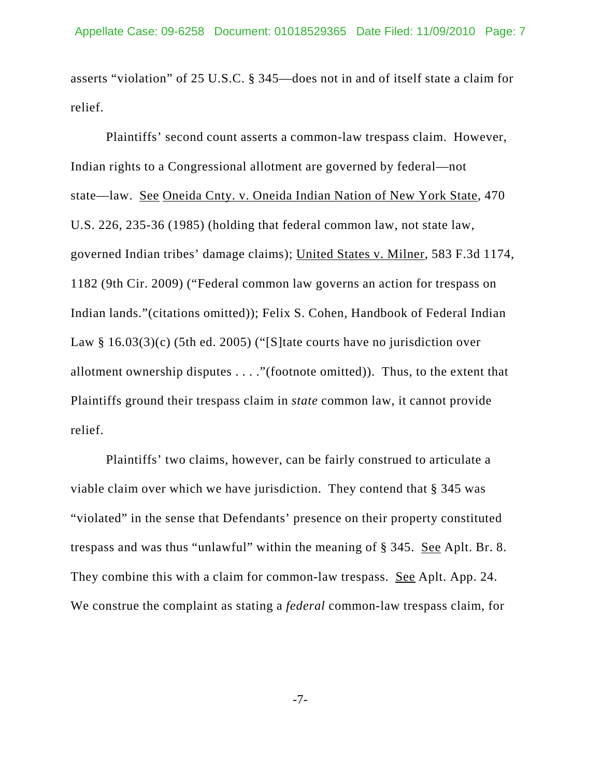asserts "violation" of 25 U.S.C. § 345—does not in and of itself state a claim for relief.

Plaintiffs' second count asserts a common-law trespass claim. However, Indian rights to a Congressional allotment are governed by federal—not state—law. See Oneida Cnty. v. Oneida Indian Nation of New York State, 470 U.S. 226, 235-36 (1985) (holding that federal common law, not state law, governed Indian tribes' damage claims); United States v. Milner, 583 F.3d 1174, 1182 (9th Cir. 2009) ("Federal common law governs an action for trespass on Indian lands."(citations omitted)); Felix S. Cohen, Handbook of Federal Indian Law § 16.03(3)(c) (5th ed. 2005) ("[S] tate courts have no jurisdiction over allotment ownership disputes . . . ."(footnote omitted)). Thus, to the extent that Plaintiffs ground their trespass claim in *state* common law, it cannot provide relief.

Plaintiffs' two claims, however, can be fairly construed to articulate a viable claim over which we have jurisdiction. They contend that § 345 was "violated" in the sense that Defendants' presence on their property constituted trespass and was thus "unlawful" within the meaning of § 345. See Aplt. Br. 8. They combine this with a claim for common-law trespass. See Aplt. App. 24. We construe the complaint as stating a *federal* common-law trespass claim, for

-7-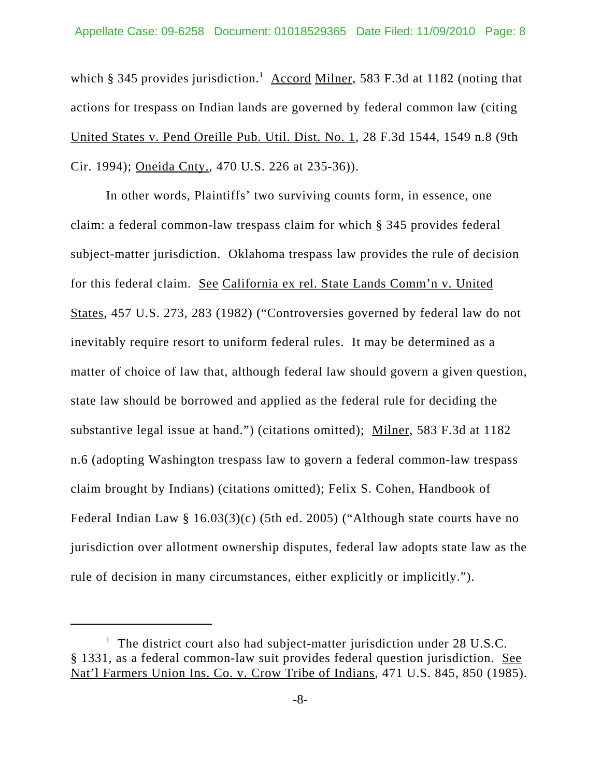which § 345 provides jurisdiction.<sup>1</sup> Accord Milner, 583 F.3d at 1182 (noting that actions for trespass on Indian lands are governed by federal common law (citing United States v. Pend Oreille Pub. Util. Dist. No. 1, 28 F.3d 1544, 1549 n.8 (9th Cir. 1994); Oneida Cnty., 470 U.S. 226 at 235-36)).

In other words, Plaintiffs' two surviving counts form, in essence, one claim: a federal common-law trespass claim for which § 345 provides federal subject-matter jurisdiction. Oklahoma trespass law provides the rule of decision for this federal claim. See California ex rel. State Lands Comm'n v. United States, 457 U.S. 273, 283 (1982) ("Controversies governed by federal law do not inevitably require resort to uniform federal rules. It may be determined as a matter of choice of law that, although federal law should govern a given question, state law should be borrowed and applied as the federal rule for deciding the substantive legal issue at hand.") (citations omitted); Milner, 583 F.3d at 1182 n.6 (adopting Washington trespass law to govern a federal common-law trespass claim brought by Indians) (citations omitted); Felix S. Cohen, Handbook of Federal Indian Law § 16.03(3)(c) (5th ed. 2005) ("Although state courts have no jurisdiction over allotment ownership disputes, federal law adopts state law as the rule of decision in many circumstances, either explicitly or implicitly.").

<sup>&</sup>lt;sup>1</sup> The district court also had subject-matter jurisdiction under 28 U.S.C. § 1331, as a federal common-law suit provides federal question jurisdiction. See Nat'l Farmers Union Ins. Co. v. Crow Tribe of Indians, 471 U.S. 845, 850 (1985).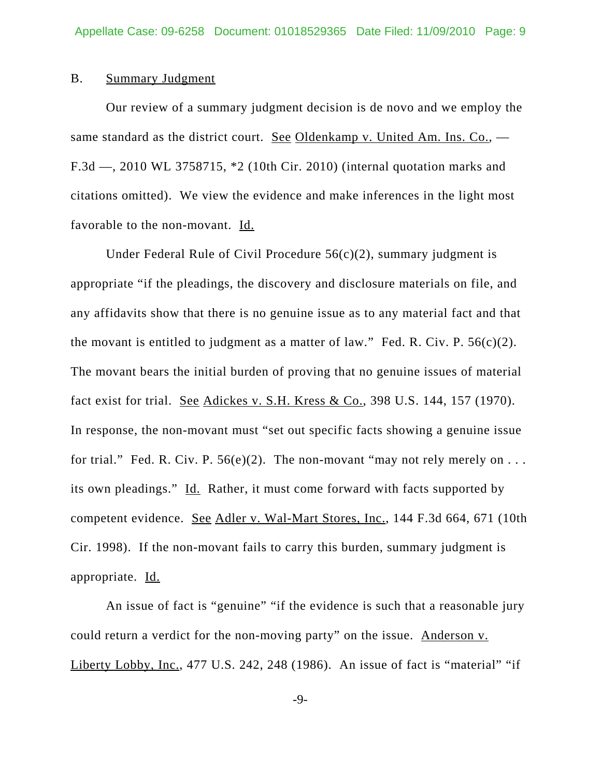#### B. Summary Judgment

Our review of a summary judgment decision is de novo and we employ the same standard as the district court. See Oldenkamp v. United Am. Ins.  $Co.$ ,  $-$ F.3d —, 2010 WL 3758715, \*2 (10th Cir. 2010) (internal quotation marks and citations omitted). We view the evidence and make inferences in the light most favorable to the non-movant. Id.

Under Federal Rule of Civil Procedure  $56(c)(2)$ , summary judgment is appropriate "if the pleadings, the discovery and disclosure materials on file, and any affidavits show that there is no genuine issue as to any material fact and that the movant is entitled to judgment as a matter of law." Fed. R. Civ. P.  $56(c)(2)$ . The movant bears the initial burden of proving that no genuine issues of material fact exist for trial. See Adickes v. S.H. Kress & Co., 398 U.S. 144, 157 (1970). In response, the non-movant must "set out specific facts showing a genuine issue for trial." Fed. R. Civ. P.  $56(e)(2)$ . The non-movant "may not rely merely on ... its own pleadings." Id. Rather, it must come forward with facts supported by competent evidence. See Adler v. Wal-Mart Stores, Inc., 144 F.3d 664, 671 (10th Cir. 1998). If the non-movant fails to carry this burden, summary judgment is appropriate. Id.

An issue of fact is "genuine" "if the evidence is such that a reasonable jury could return a verdict for the non-moving party" on the issue. Anderson v. Liberty Lobby, Inc., 477 U.S. 242, 248 (1986). An issue of fact is "material" "if

-9-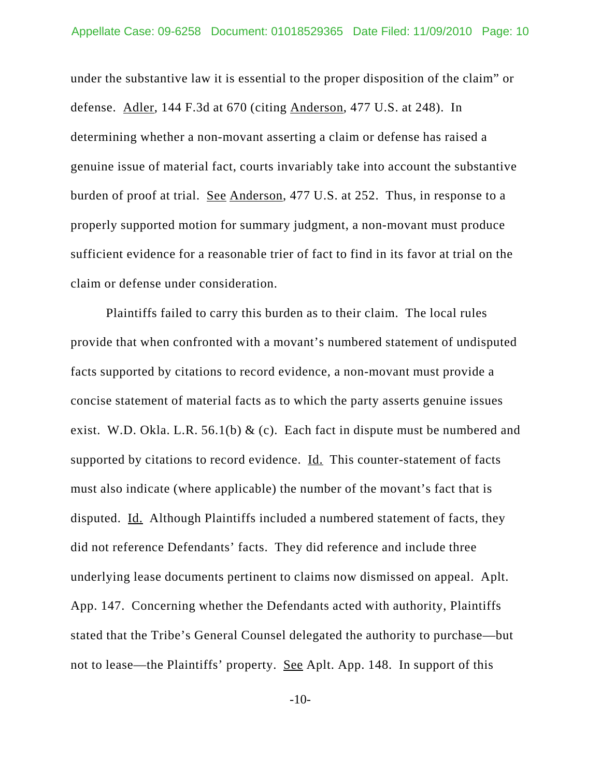under the substantive law it is essential to the proper disposition of the claim" or defense. Adler, 144 F.3d at 670 (citing Anderson, 477 U.S. at 248). In determining whether a non-movant asserting a claim or defense has raised a genuine issue of material fact, courts invariably take into account the substantive burden of proof at trial. See Anderson, 477 U.S. at 252. Thus, in response to a properly supported motion for summary judgment, a non-movant must produce sufficient evidence for a reasonable trier of fact to find in its favor at trial on the claim or defense under consideration.

Plaintiffs failed to carry this burden as to their claim. The local rules provide that when confronted with a movant's numbered statement of undisputed facts supported by citations to record evidence, a non-movant must provide a concise statement of material facts as to which the party asserts genuine issues exist. W.D. Okla. L.R. 56.1(b)  $&$  (c). Each fact in dispute must be numbered and supported by citations to record evidence.  $\underline{Id}$ . This counter-statement of facts must also indicate (where applicable) the number of the movant's fact that is disputed. Id. Although Plaintiffs included a numbered statement of facts, they did not reference Defendants' facts. They did reference and include three underlying lease documents pertinent to claims now dismissed on appeal. Aplt. App. 147. Concerning whether the Defendants acted with authority, Plaintiffs stated that the Tribe's General Counsel delegated the authority to purchase—but not to lease—the Plaintiffs' property. See Aplt. App. 148. In support of this

 $-10-$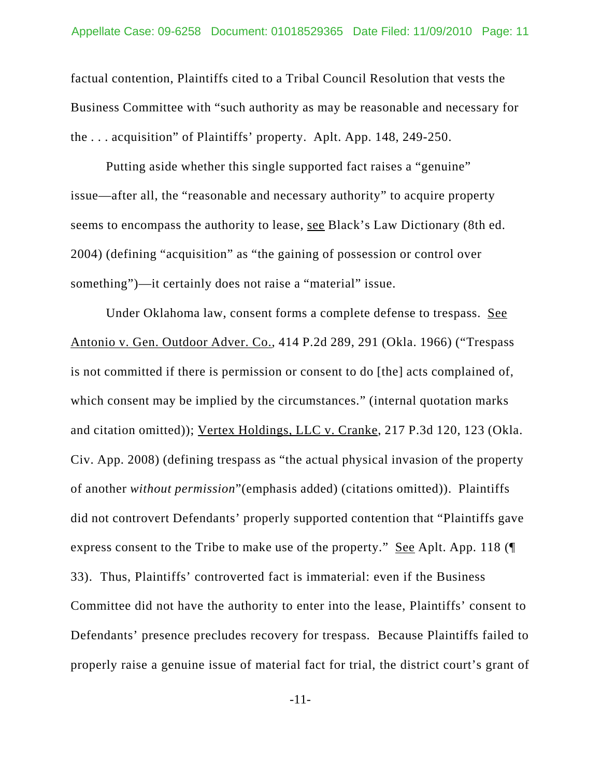factual contention, Plaintiffs cited to a Tribal Council Resolution that vests the Business Committee with "such authority as may be reasonable and necessary for the . . . acquisition" of Plaintiffs' property. Aplt. App. 148, 249-250.

Putting aside whether this single supported fact raises a "genuine" issue—after all, the "reasonable and necessary authority" to acquire property seems to encompass the authority to lease, see Black's Law Dictionary (8th ed. 2004) (defining "acquisition" as "the gaining of possession or control over something")—it certainly does not raise a "material" issue.

Under Oklahoma law, consent forms a complete defense to trespass. See Antonio v. Gen. Outdoor Adver. Co., 414 P.2d 289, 291 (Okla. 1966) ("Trespass is not committed if there is permission or consent to do [the] acts complained of, which consent may be implied by the circumstances." (internal quotation marks) and citation omitted)); Vertex Holdings, LLC v. Cranke, 217 P.3d 120, 123 (Okla. Civ. App. 2008) (defining trespass as "the actual physical invasion of the property of another *without permission*"(emphasis added) (citations omitted)). Plaintiffs did not controvert Defendants' properly supported contention that "Plaintiffs gave express consent to the Tribe to make use of the property." See Aplt. App. 118 (¶ 33). Thus, Plaintiffs' controverted fact is immaterial: even if the Business Committee did not have the authority to enter into the lease, Plaintiffs' consent to Defendants' presence precludes recovery for trespass. Because Plaintiffs failed to properly raise a genuine issue of material fact for trial, the district court's grant of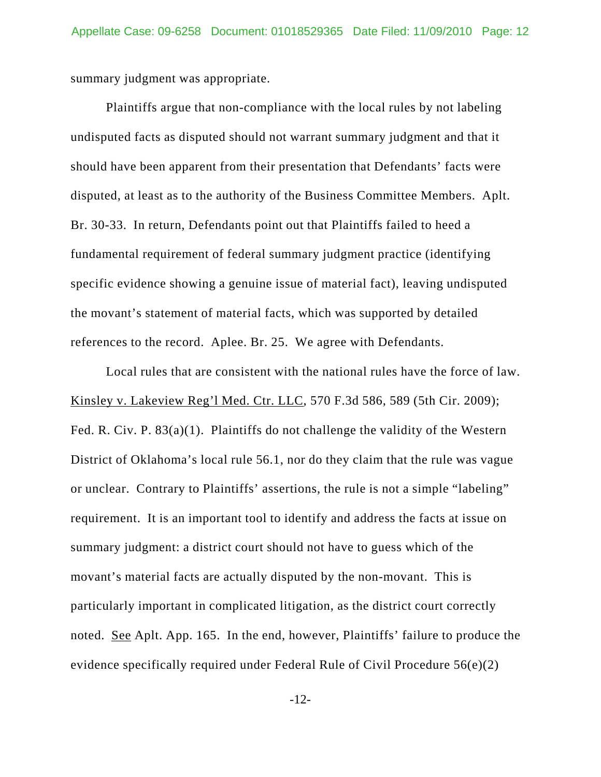summary judgment was appropriate.

Plaintiffs argue that non-compliance with the local rules by not labeling undisputed facts as disputed should not warrant summary judgment and that it should have been apparent from their presentation that Defendants' facts were disputed, at least as to the authority of the Business Committee Members. Aplt. Br. 30-33. In return, Defendants point out that Plaintiffs failed to heed a fundamental requirement of federal summary judgment practice (identifying specific evidence showing a genuine issue of material fact), leaving undisputed the movant's statement of material facts, which was supported by detailed references to the record. Aplee. Br. 25. We agree with Defendants.

Local rules that are consistent with the national rules have the force of law. Kinsley v. Lakeview Reg'l Med. Ctr. LLC, 570 F.3d 586, 589 (5th Cir. 2009); Fed. R. Civ. P. 83(a)(1). Plaintiffs do not challenge the validity of the Western District of Oklahoma's local rule 56.1, nor do they claim that the rule was vague or unclear. Contrary to Plaintiffs' assertions, the rule is not a simple "labeling" requirement. It is an important tool to identify and address the facts at issue on summary judgment: a district court should not have to guess which of the movant's material facts are actually disputed by the non-movant. This is particularly important in complicated litigation, as the district court correctly noted. <u>See</u> Aplt. App. 165. In the end, however, Plaintiffs' failure to produce the evidence specifically required under Federal Rule of Civil Procedure 56(e)(2)

-12-